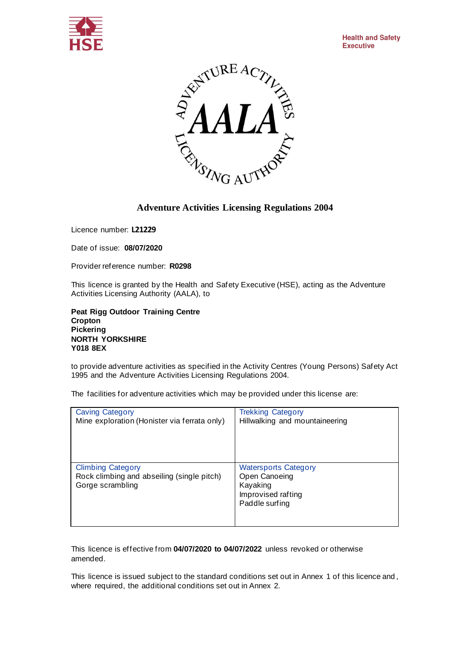



Licence number: **L21229**

Date of issue: **08/07/2020**

Provider reference number: **R0298**

This licence is granted by the Health and Safety Executive (HSE), acting as the Adventure Activities Licensing Authority (AALA), to

**Peat Rigg Outdoor Training Centre Cropton Pickering NORTH YORKSHIRE Y018 8EX**

to provide adventure activities as specified in the Activity Centres (Young Persons) Safety Act 1995 and the Adventure Activities Licensing Regulations 2004.

The facilities for adventure activities which may be provided under this license are:

| <b>Caving Category</b>                                                                     | <b>Trekking Category</b>                                                                         |
|--------------------------------------------------------------------------------------------|--------------------------------------------------------------------------------------------------|
| Mine exploration (Honister via ferrata only)                                               | Hillwalking and mountaineering                                                                   |
| <b>Climbing Category</b><br>Rock climbing and abseiling (single pitch)<br>Gorge scrambling | <b>Watersports Category</b><br>Open Canoeing<br>Kayaking<br>Improvised rafting<br>Paddle surfing |

This licence is effective from **04/07/2020 to 04/07/2022** unless revoked or otherwise amended.

This licence is issued subject to the standard conditions set out in Annex 1 of this licence and , where required, the additional conditions set out in Annex 2.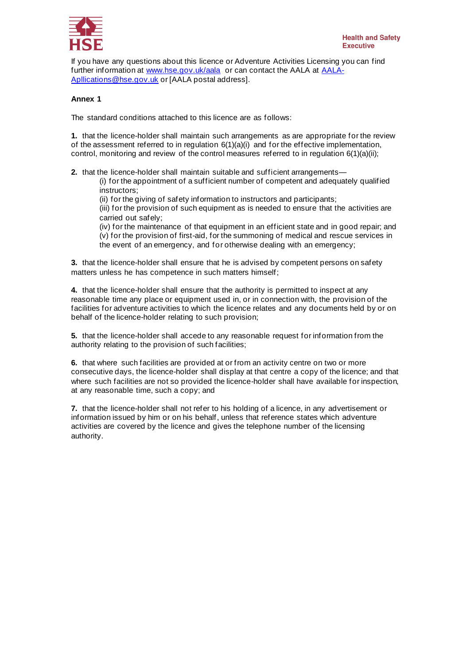

If you have any questions about this licence or Adventure Activities Licensing you can find further information at [www.hse.gov.uk/aala](http://www.hse.gov.uk/aala) or can contact the AALA at [AALA-](mailto:AALA-Apllications@hse.gov.uk)[Apllications@hse.gov.uk](mailto:AALA-Apllications@hse.gov.uk) or [AALA postal address].

## **Annex 1**

The standard conditions attached to this licence are as follows:

**1.** that the licence-holder shall maintain such arrangements as are appropriate for the review of the assessment referred to in regulation  $6(1)(a)(i)$  and for the effective implementation, control, monitoring and review of the control measures referred to in regulation 6(1)(a)(ii);

**2.** that the licence-holder shall maintain suitable and sufficient arrangements—

(i) for the appointment of a sufficient number of competent and adequately qualified instructors;

(ii) for the giving of safety information to instructors and participants;

(iii) for the provision of such equipment as is needed to ensure that the activities are carried out safely;

(iv) for the maintenance of that equipment in an efficient state and in good repair; and (v) for the provision of first-aid, for the summoning of medical and rescue services in the event of an emergency, and for otherwise dealing with an emergency;

**3.** that the licence-holder shall ensure that he is advised by competent persons on safety matters unless he has competence in such matters himself;

**4.** that the licence-holder shall ensure that the authority is permitted to inspect at any reasonable time any place or equipment used in, or in connection with, the provision of the facilities for adventure activities to which the licence relates and any documents held by or on behalf of the licence-holder relating to such provision;

**5.** that the licence-holder shall accede to any reasonable request for information from the authority relating to the provision of such facilities;

**6.** that where such facilities are provided at or from an activity centre on two or more consecutive days, the licence-holder shall display at that centre a copy of the licence; and that where such facilities are not so provided the licence-holder shall have available for inspection, at any reasonable time, such a copy; and

**7.** that the licence-holder shall not refer to his holding of a licence, in any advertisement or information issued by him or on his behalf, unless that reference states which adventure activities are covered by the licence and gives the telephone number of the licensing authority.